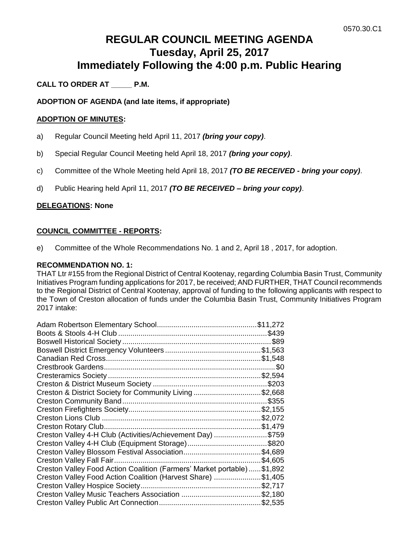# **REGULAR COUNCIL MEETING AGENDA Tuesday, April 25, 2017 Immediately Following the 4:00 p.m. Public Hearing**

# **CALL TO ORDER AT \_\_\_\_\_ P.M.**

# **ADOPTION OF AGENDA (and late items, if appropriate)**

#### **ADOPTION OF MINUTES:**

- a) Regular Council Meeting held April 11, 2017 *(bring your copy)*.
- b) Special Regular Council Meeting held April 18, 2017 *(bring your copy)*.
- c) Committee of the Whole Meeting held April 18, 2017 *(TO BE RECEIVED - bring your copy)*.
- d) Public Hearing held April 11, 2017 *(TO BE RECEIVED – bring your copy)*.

# **DELEGATIONS: None**

# **COUNCIL COMMITTEE - REPORTS:**

e) Committee of the Whole Recommendations No. 1 and 2, April 18 , 2017, for adoption.

#### **RECOMMENDATION NO. 1:**

THAT Ltr #155 from the Regional District of Central Kootenay, regarding Columbia Basin Trust, Community Initiatives Program funding applications for 2017, be received; AND FURTHER, THAT Council recommends to the Regional District of Central Kootenay, approval of funding to the following applicants with respect to the Town of Creston allocation of funds under the Columbia Basin Trust, Community Initiatives Program 2017 intake:

| Creston & District Society for Community Living \$2,668                |         |
|------------------------------------------------------------------------|---------|
|                                                                        |         |
|                                                                        |         |
|                                                                        |         |
|                                                                        |         |
| Creston Valley 4-H Club (Activities/Achievement Day) \$759             |         |
|                                                                        |         |
| Creston Valley Blossom Festival Association\$4,689                     |         |
|                                                                        | \$4,605 |
| Creston Valley Food Action Coalition (Farmers' Market portable)\$1,892 |         |
| Creston Valley Food Action Coalition (Harvest Share) \$1,405           |         |
|                                                                        |         |
|                                                                        |         |
|                                                                        |         |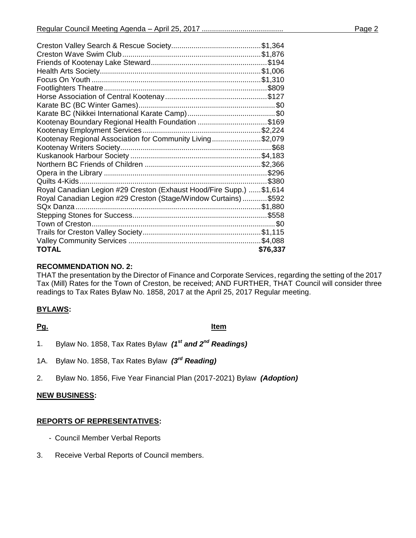| Kootenay Boundary Regional Health Foundation \$169                   |          |
|----------------------------------------------------------------------|----------|
|                                                                      |          |
| Kootenay Regional Association for Community Living\$2,079            |          |
|                                                                      |          |
|                                                                      |          |
|                                                                      |          |
|                                                                      |          |
|                                                                      |          |
| Royal Canadian Legion #29 Creston (Exhaust Hood/Fire Supp.)  \$1,614 |          |
| Royal Canadian Legion #29 Creston (Stage/Window Curtains)  \$592     |          |
|                                                                      |          |
|                                                                      |          |
| Town of Creston                                                      |          |
|                                                                      |          |
|                                                                      |          |
| TOTAL                                                                | \$76,337 |
|                                                                      |          |

# **RECOMMENDATION NO. 2:**

THAT the presentation by the Director of Finance and Corporate Services, regarding the setting of the 2017 Tax (Mill) Rates for the Town of Creston, be received; AND FURTHER, THAT Council will consider three readings to Tax Rates Bylaw No. 1858, 2017 at the April 25, 2017 Regular meeting.

# **BYLAWS:**

**Pg. Item**

- 1. Bylaw No. 1858, Tax Rates Bylaw *(1st and 2nd Readings)*
- 1A. Bylaw No. 1858, Tax Rates Bylaw *(3rd Reading)*
- 2. Bylaw No. 1856, Five Year Financial Plan (2017-2021) Bylaw *(Adoption)*

#### **NEW BUSINESS:**

#### **REPORTS OF REPRESENTATIVES:**

- Council Member Verbal Reports
- 3. Receive Verbal Reports of Council members.